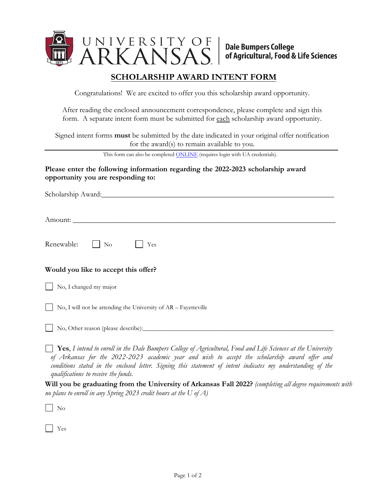

## **SCHOLARSHIP AWARD INTENT FORM**

Congratulations! We are excited to offer you this scholarship award opportunity.

After reading the enclosed announcement correspondence, please complete and sign this form. A separate intent form must be submitted for each scholarship award opportunity.

Signed intent forms **must** be submitted by the date indicated in your original offer notification for the award(s) to remain available to you.

This form can also be completed **ONLINE** (requires login with UA credentials).

## **Please enter the following information regarding the 2022-2023 scholarship award opportunity you are responding to:**

Scholarship Award:\_\_\_\_\_\_\_\_\_\_\_\_\_\_\_\_\_\_\_\_\_\_\_\_\_\_\_\_\_\_\_\_\_\_\_\_\_\_\_\_\_\_\_\_\_\_\_\_\_\_\_\_\_\_\_\_\_\_\_\_\_\_

Amount: \_\_\_\_\_\_\_\_\_\_\_\_\_\_\_\_\_\_\_\_\_\_\_\_\_\_\_\_\_\_\_\_\_\_\_\_\_\_\_\_\_\_\_\_\_\_\_\_\_\_\_\_\_\_\_\_\_\_\_\_\_\_\_\_\_\_\_\_\_\_

| Renewable: | $\vert$ No |  |  |
|------------|------------|--|--|
|------------|------------|--|--|

## **Would you like to accept this offer?**

No, I changed my major

No, I will not be attending the University of AR – Fayetteville

No, Other reason (please describe):

 **Yes**, *I intend to enroll in the Dale Bumpers College of Agricultural, Food and Life Sciences at the University of Arkansas for the 2022-2023 academic year and wish to accept the scholarship award offer and conditions stated in the enclosed letter. Signing this statement of intent indicates my understanding of the qualifications to receive the funds.* 

**Will you be graduating from the University of Arkansas Fall 2022?** *(completing all degree requirements with no plans to enroll in any Spring 2023 credit hours at the U of A)*

No

Yes